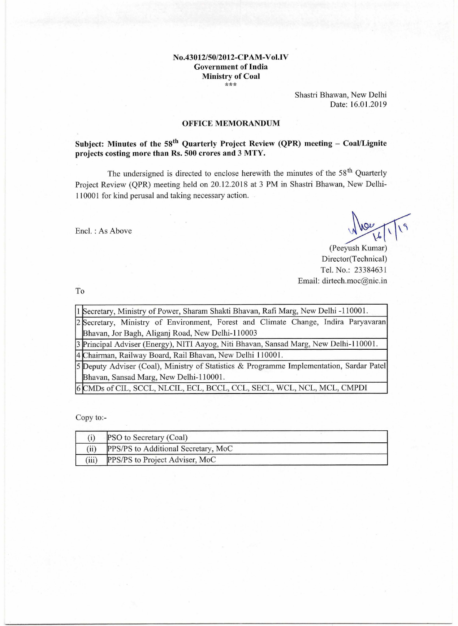#### **No.43012/50/2012-CPAM-Vol.IV Government of India Ministry of Coal**  \*\*\*

Shastri Bhawan, New Delhi Date: 16.01.2019

#### **OFFICE MEMORANDUM**

**Subject: Minutes of the 58<sup>th</sup> Quarterly Project Review (QPR) meeting – Coal/Lignite projects costing more than Rs. 500 crores and 3 MTY.** 

The undersigned is directed to enclose herewith the minutes of the  $58<sup>th</sup>$  Quarterly Project Review (QPR) meeting held on 20.12.2018 at 3 PM in Shastri Bhawan, New Delhi-110001 for kind perusal and taking necessary action.

Encl. : As Above

(Peeyush Kumar) Director(Technical) Tel. No.: 23384631 Email: dirtech.moc@nic.in

To

| 11 Secretary, Ministry of Power, Sharam Shakti Bhavan, Rafi Marg, New Delhi -110001.      |  |  |  |
|-------------------------------------------------------------------------------------------|--|--|--|
| 2 Secretary, Ministry of Environment, Forest and Climate Change, Indira Paryavaran        |  |  |  |
| Bhavan, Jor Bagh, Aliganj Road, New Delhi-110003                                          |  |  |  |
| 3 Principal Adviser (Energy), NITI Aayog, Niti Bhavan, Sansad Marg, New Delhi-110001.     |  |  |  |
| 4 Chairman, Railway Board, Rail Bhavan, New Delhi 110001.                                 |  |  |  |
| [5 Deputy Adviser (Coal), Ministry of Statistics & Programme Implementation, Sardar Patel |  |  |  |
| Bhavan, Sansad Marg, New Delhi-110001.                                                    |  |  |  |
| 6 CMDs of CIL, SCCL, NLCIL, ECL, BCCL, CCL, SECL, WCL, NCL, MCL, CMPDI                    |  |  |  |

Copy to:-

|       | PSO to Secretary (Coal)             |  |
|-------|-------------------------------------|--|
|       | PPS/PS to Additional Secretary, MoC |  |
| (iii) | PPS/PS to Project Adviser, MoC      |  |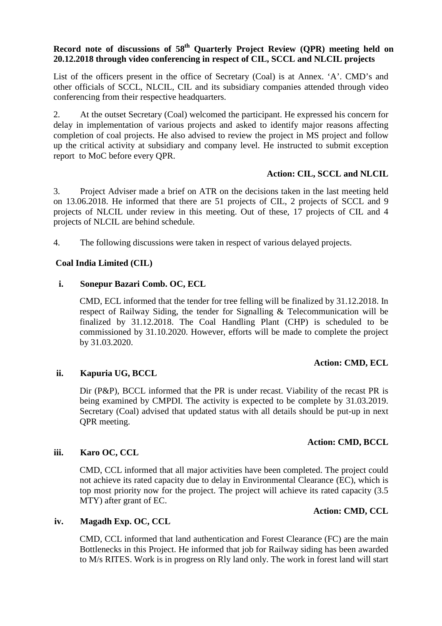# **Record note of discussions of 58th Quarterly Project Review (QPR) meeting held on 20.12.2018 through video conferencing in respect of CIL, SCCL and NLCIL projects**

List of the officers present in the office of Secretary (Coal) is at Annex. 'A'. CMD's and other officials of SCCL, NLCIL, CIL and its subsidiary companies attended through video conferencing from their respective headquarters.

2. At the outset Secretary (Coal) welcomed the participant. He expressed his concern for delay in implementation of various projects and asked to identify major reasons affecting completion of coal projects. He also advised to review the project in MS project and follow up the critical activity at subsidiary and company level. He instructed to submit exception report to MoC before every QPR.

# **Action: CIL, SCCL and NLCIL**

3. Project Adviser made a brief on ATR on the decisions taken in the last meeting held on 13.06.2018. He informed that there are 51 projects of CIL, 2 projects of SCCL and 9 projects of NLCIL under review in this meeting. Out of these, 17 projects of CIL and 4 projects of NLCIL are behind schedule.

4. The following discussions were taken in respect of various delayed projects.

## **Coal India Limited (CIL)**

## **i. Sonepur Bazari Comb. OC, ECL**

CMD, ECL informed that the tender for tree felling will be finalized by 31.12.2018. In respect of Railway Siding, the tender for Signalling & Telecommunication will be finalized by 31.12.2018. The Coal Handling Plant (CHP) is scheduled to be commissioned by 31.10.2020. However, efforts will be made to complete the project by 31.03.2020.

## **Action: CMD, ECL**

# **ii. Kapuria UG, BCCL**

Dir (P&P), BCCL informed that the PR is under recast. Viability of the recast PR is being examined by CMPDI. The activity is expected to be complete by 31.03.2019. Secretary (Coal) advised that updated status with all details should be put-up in next QPR meeting.

## **Action: CMD, BCCL**

## **iii. Karo OC, CCL**

CMD, CCL informed that all major activities have been completed. The project could not achieve its rated capacity due to delay in Environmental Clearance (EC), which is top most priority now for the project. The project will achieve its rated capacity (3.5 MTY) after grant of EC.

# **Action: CMD, CCL**

## **iv. Magadh Exp. OC, CCL**

CMD, CCL informed that land authentication and Forest Clearance (FC) are the main Bottlenecks in this Project. He informed that job for Railway siding has been awarded to M/s RITES. Work is in progress on Rly land only. The work in forest land will start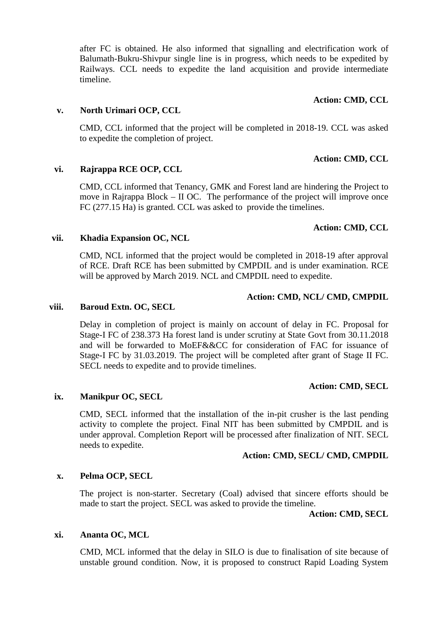after FC is obtained. He also informed that signalling and electrification work of Balumath-Bukru-Shivpur single line is in progress, which needs to be expedited by Railways. CCL needs to expedite the land acquisition and provide intermediate timeline.

### **Action: CMD, CCL**

## **v. North Urimari OCP, CCL**

CMD, CCL informed that the project will be completed in 2018-19. CCL was asked to expedite the completion of project.

# **Action: CMD, CCL**

# **vi. Rajrappa RCE OCP, CCL**

CMD, CCL informed that Tenancy, GMK and Forest land are hindering the Project to move in Rajrappa Block – II OC. The performance of the project will improve once FC (277.15 Ha) is granted. CCL was asked to provide the timelines.

## **Action: CMD, CCL**

### **vii. Khadia Expansion OC, NCL**

CMD, NCL informed that the project would be completed in 2018-19 after approval of RCE. Draft RCE has been submitted by CMPDIL and is under examination. RCE will be approved by March 2019. NCL and CMPDIL need to expedite.

## **Action: CMD, NCL/ CMD, CMPDIL**

#### **viii. Baroud Extn. OC, SECL**

Delay in completion of project is mainly on account of delay in FC. Proposal for Stage-I FC of 238.373 Ha forest land is under scrutiny at State Govt from 30.11.2018 and will be forwarded to MoEF&&CC for consideration of FAC for issuance of Stage-I FC by 31.03.2019. The project will be completed after grant of Stage II FC. SECL needs to expedite and to provide timelines.

## **Action: CMD, SECL**

## **ix. Manikpur OC, SECL**

CMD, SECL informed that the installation of the in-pit crusher is the last pending activity to complete the project. Final NIT has been submitted by CMPDIL and is under approval. Completion Report will be processed after finalization of NIT. SECL needs to expedite.

## **Action: CMD, SECL/ CMD, CMPDIL**

## **x. Pelma OCP, SECL**

The project is non-starter. Secretary (Coal) advised that sincere efforts should be made to start the project. SECL was asked to provide the timeline.

**Action: CMD, SECL**

## **xi. Ananta OC, MCL**

CMD, MCL informed that the delay in SILO is due to finalisation of site because of unstable ground condition. Now, it is proposed to construct Rapid Loading System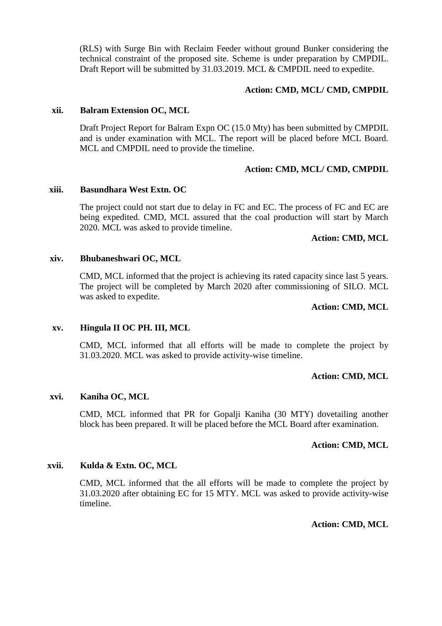(RLS) with Surge Bin with Reclaim Feeder without ground Bunker considering the technical constraint of the proposed site. Scheme is under preparation by CMPDIL. Draft Report will be submitted by 31.03.2019. MCL & CMPDIL need to expedite.

### **Action: CMD, MCL/ CMD, CMPDIL**

#### **xii. Balram Extension OC, MCL**

Draft Project Report for Balram Expn OC (15.0 Mty) has been submitted by CMPDIL and is under examination with MCL. The report will be placed before MCL Board. MCL and CMPDIL need to provide the timeline.

### **Action: CMD, MCL/ CMD, CMPDIL**

### **xiii. Basundhara West Extn. OC**

The project could not start due to delay in FC and EC. The process of FC and EC are being expedited. CMD, MCL assured that the coal production will start by March 2020. MCL was asked to provide timeline.

### **Action: CMD, MCL**

### **xiv. Bhubaneshwari OC, MCL**

CMD, MCL informed that the project is achieving its rated capacity since last 5 years. The project will be completed by March 2020 after commissioning of SILO. MCL was asked to expedite.

### **Action: CMD, MCL**

## **xv. Hingula II OC PH. III, MCL**

CMD, MCL informed that all efforts will be made to complete the project by 31.03.2020. MCL was asked to provide activity-wise timeline.

## **Action: CMD, MCL**

#### **xvi. Kaniha OC, MCL**

CMD, MCL informed that PR for Gopalji Kaniha (30 MTY) dovetailing another block has been prepared. It will be placed before the MCL Board after examination.

## **Action: CMD, MCL**

#### **xvii. Kulda & Extn. OC, MCL**

CMD, MCL informed that the all efforts will be made to complete the project by 31.03.2020 after obtaining EC for 15 MTY. MCL was asked to provide activity-wise timeline.

**Action: CMD, MCL**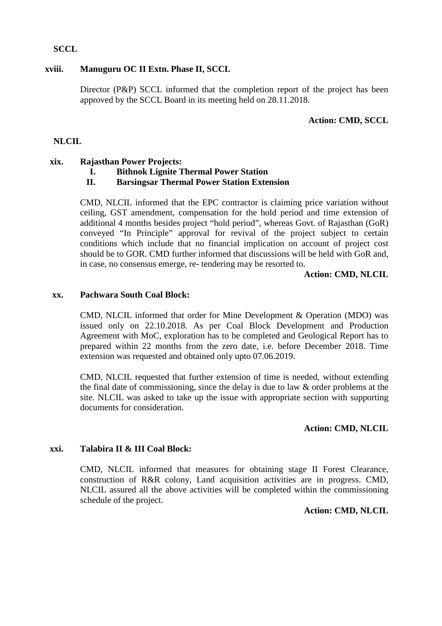## **SCCL**

## **xviii. Manuguru OC II Extn. Phase II, SCCL**

Director (P&P) SCCL informed that the completion report of the project has been approved by the SCCL Board in its meeting held on 28.11.2018.

# **Action: CMD, SCCL**

## **NLCIL**

## **xix. Rajasthan Power Projects:**

**I. Bithnok Lignite Thermal Power Station** 

# **II. Barsingsar Thermal Power Station Extension**

CMD, NLCIL informed that the EPC contractor is claiming price variation without ceiling, GST amendment, compensation for the hold period and time extension of additional 4 months besides project "hold period", whereas Govt. of Rajasthan (GoR) conveyed "In Principle" approval for revival of the project subject to certain conditions which include that no financial implication on account of project cost should be to GOR. CMD further informed that discussions will be held with GoR and, in case, no consensus emerge, re- tendering may be resorted to.

## **Action: CMD, NLCIL**

### **xx. Pachwara South Coal Block:**

CMD, NLCIL informed that order for Mine Development & Operation (MDO) was issued only on 22.10.2018. As per Coal Block Development and Production Agreement with MoC, exploration has to be completed and Geological Report has to prepared within 22 months from the zero date, i.e. before December 2018. Time extension was requested and obtained only upto 07.06.2019.

CMD, NLCIL requested that further extension of time is needed, without extending the final date of commissioning, since the delay is due to law & order problems at the site. NLCIL was asked to take up the issue with appropriate section with supporting documents for consideration.

## **Action: CMD, NLCIL**

## **xxi. Talabira II & III Coal Block:**

CMD, NLCIL informed that measures for obtaining stage II Forest Clearance, construction of R&R colony, Land acquisition activities are in progress. CMD, NLCIL assured all the above activities will be completed within the commissioning schedule of the project.

## **Action: CMD, NLCIL**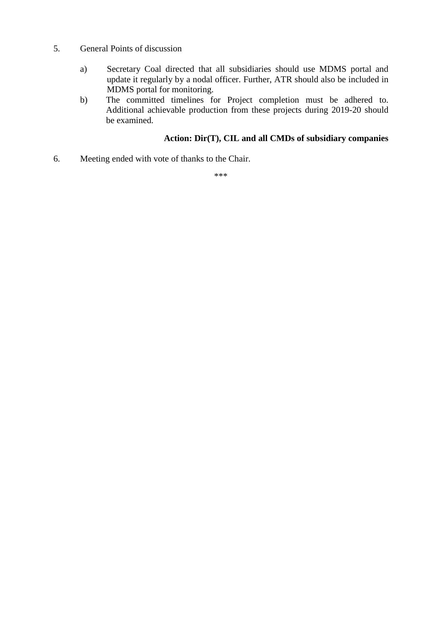- 5. General Points of discussion
	- a) Secretary Coal directed that all subsidiaries should use MDMS portal and update it regularly by a nodal officer. Further, ATR should also be included in MDMS portal for monitoring.
	- b) The committed timelines for Project completion must be adhered to. Additional achievable production from these projects during 2019-20 should be examined.

# **Action: Dir(T), CIL and all CMDs of subsidiary companies**

6. Meeting ended with vote of thanks to the Chair.

\*\*\*